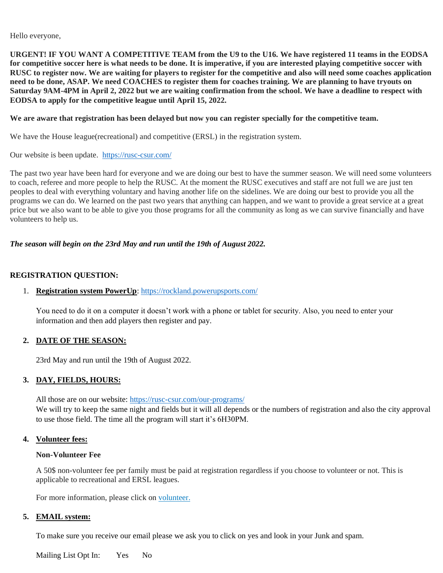Hello everyone,

**URGENT! IF YOU WANT A COMPETITIVE TEAM from the U9 to the U16. We have registered 11 teams in the EODSA for competitive soccer here is what needs to be done. It is imperative, if you are interested playing competitive soccer with RUSC to register now. We are waiting for players to register for the competitive and also will need some coaches application need to be done, ASAP. We need COACHES to register them for coaches training. We are planning to have tryouts on Saturday 9AM-4PM in April 2, 2022 but we are waiting confirmation from the school. We have a deadline to respect with EODSA to apply for the competitive league until April 15, 2022.**

### **We are aware that registration has been delayed but now you can register specially for the competitive team.**

We have the House league(recreational) and competitive (ERSL) in the registration system.

Our website is been update. <https://rusc-csur.com/>

The past two year have been hard for everyone and we are doing our best to have the summer season. We will need some volunteers to coach, referee and more people to help the RUSC. At the moment the RUSC executives and staff are not full we are just ten peoples to deal with everything voluntary and having another life on the sidelines. We are doing our best to provide you all the programs we can do. We learned on the past two years that anything can happen, and we want to provide a great service at a great price but we also want to be able to give you those programs for all the community as long as we can survive financially and have volunteers to help us.

### *The season will begin on the 23rd May and run until the 19th of August 2022.*

# **REGISTRATION QUESTION:**

## 1. **Registration system PowerUp**:<https://rockland.powerupsports.com/>

You need to do it on a computer it doesn't work with a phone or tablet for security. Also, you need to enter your information and then add players then register and pay.

### **2. DATE OF THE SEASON:**

23rd May and run until the 19th of August 2022.

# **3. DAY, FIELDS, HOURS:**

All those are on our website:<https://rusc-csur.com/our-programs/> We will try to keep the same night and fields but it will all depends or the numbers of registration and also the city approval to use those field. The time all the program will start it's 6H30PM.

### **4. Volunteer fees:**

### **Non-Volunteer Fee**

A 50\$ non-volunteer fee per family must be paid at registration regardless if you choose to volunteer or not. This is applicable to recreational and ERSL leagues.

For more information, please click on [volunteer.](https://rusc-csur.com/RocklandUnited/vol)

### **5. EMAIL system:**

To make sure you receive our email please we ask you to click on yes and look in your Junk and spam.

Mailing List Opt In: Yes No